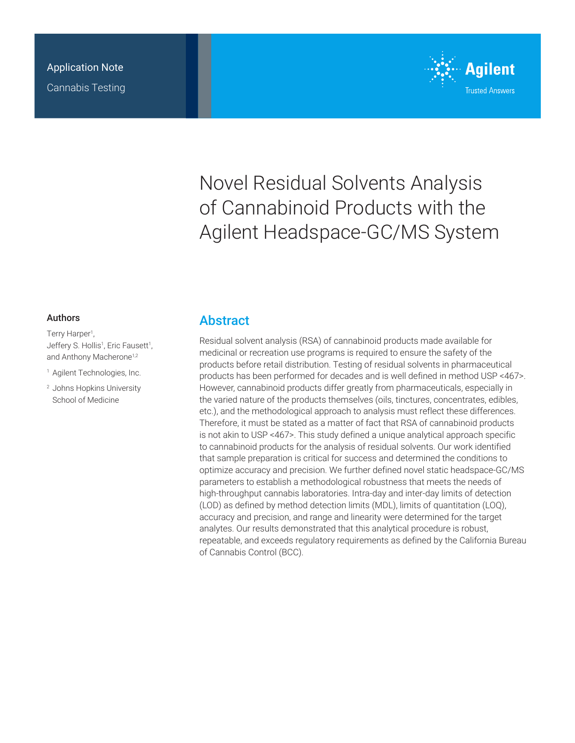

Novel Residual Solvents Analysis of Cannabinoid Products with the Agilent Headspace-GC/MS System

#### Authors

Terry Harper<sup>1</sup>, Jeffery S. Hollis<sup>1</sup>, Eric Fausett<sup>1</sup>, and Anthony Macherone<sup>1,2</sup>

<sup>1</sup> Agilent Technologies, Inc.

<sup>2</sup> Johns Hopkins University School of Medicine

## **Abstract**

Residual solvent analysis (RSA) of cannabinoid products made available for medicinal or recreation use programs is required to ensure the safety of the products before retail distribution. Testing of residual solvents in pharmaceutical products has been performed for decades and is well defined in method USP <467>. However, cannabinoid products differ greatly from pharmaceuticals, especially in the varied nature of the products themselves (oils, tinctures, concentrates, edibles, etc.), and the methodological approach to analysis must reflect these differences. Therefore, it must be stated as a matter of fact that RSA of cannabinoid products is not akin to USP <467>. This study defined a unique analytical approach specific to cannabinoid products for the analysis of residual solvents. Our work identified that sample preparation is critical for success and determined the conditions to optimize accuracy and precision. We further defined novel static headspace-GC/MS parameters to establish a methodological robustness that meets the needs of high-throughput cannabis laboratories. Intra-day and inter-day limits of detection (LOD) as defined by method detection limits (MDL), limits of quantitation (LOQ), accuracy and precision, and range and linearity were determined for the target analytes. Our results demonstrated that this analytical procedure is robust, repeatable, and exceeds regulatory requirements as defined by the California Bureau of Cannabis Control (BCC).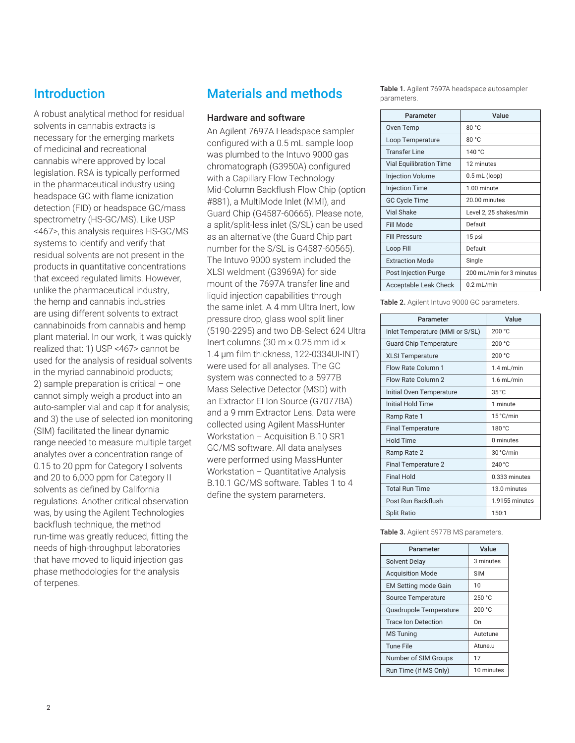# Introduction

A robust analytical method for residual solvents in cannabis extracts is necessary for the emerging markets of medicinal and recreational cannabis where approved by local legislation. RSA is typically performed in the pharmaceutical industry using headspace GC with flame ionization detection (FID) or headspace GC/mass spectrometry (HS-GC/MS). Like USP <467>, this analysis requires HS-GC/MS systems to identify and verify that residual solvents are not present in the products in quantitative concentrations that exceed regulated limits. However, unlike the pharmaceutical industry, the hemp and cannabis industries are using different solvents to extract cannabinoids from cannabis and hemp plant material. In our work, it was quickly realized that: 1) USP <467> cannot be used for the analysis of residual solvents in the myriad cannabinoid products; 2) sample preparation is critical – one cannot simply weigh a product into an auto-sampler vial and cap it for analysis; and 3) the use of selected ion monitoring (SIM) facilitated the linear dynamic range needed to measure multiple target analytes over a concentration range of 0.15 to 20 ppm for Category I solvents and 20 to 6,000 ppm for Category II solvents as defined by California regulations. Another critical observation was, by using the Agilent Technologies backflush technique, the method run-time was greatly reduced, fitting the needs of high-throughput laboratories that have moved to liquid injection gas phase methodologies for the analysis of terpenes.

# Materials and methods

#### Hardware and software

An Agilent 7697A Headspace sampler configured with a 0.5 mL sample loop was plumbed to the Intuvo 9000 gas chromatograph (G3950A) configured with a Capillary Flow Technology Mid‑Column Backflush Flow Chip (option #881), a MultiMode Inlet (MMI), and Guard Chip (G4587-60665). Please note, a split/split-less inlet (S/SL) can be used as an alternative (the Guard Chip part number for the S/SL is G4587-60565). The Intuvo 9000 system included the XLSI weldment (G3969A) for side mount of the 7697A transfer line and liquid injection capabilities through the same inlet. A 4 mm Ultra Inert, low pressure drop, glass wool split liner (5190-2295) and two DB-Select 624 Ultra Inert columns (30 m  $\times$  0.25 mm id  $\times$ 1.4 µm film thickness, 122-0334UI‑INT) were used for all analyses. The GC system was connected to a 5977B Mass Selective Detector (MSD) with an Extractor EI Ion Source (G7077BA) and a 9 mm Extractor Lens. Data were collected using Agilent MassHunter Workstation – Acquisition B.10 SR1 GC/MS software. All data analyses were performed using MassHunter Workstation – Quantitative Analysis B.10.1 GC/MS software. Tables 1 to 4 define the system parameters.

Table 1. Agilent 7697A headspace autosampler parameters.

| Parameter                      | Value                    |
|--------------------------------|--------------------------|
| Oven Temp                      | 80 °C                    |
| Loop Temperature               | 80 °C                    |
| Transfer Line                  | 140 °C                   |
| <b>Vial Equilibration Time</b> | 12 minutes               |
| <b>Injection Volume</b>        | $0.5$ mL (loop)          |
| <b>Injection Time</b>          | 1.00 minute              |
| <b>GC Cycle Time</b>           | 20.00 minutes            |
| Vial Shake                     | Level 2, 25 shakes/min   |
| Fill Mode                      | Default                  |
| <b>Fill Pressure</b>           | 15 psi                   |
| Loop Fill                      | Default                  |
| <b>Extraction Mode</b>         | Single                   |
| <b>Post Injection Purge</b>    | 200 mL/min for 3 minutes |
| Acceptable Leak Check          | $0.2$ mL/min             |

Table 2. Agilent Intuvo 9000 GC parameters.

| Parameter                       | Value              |
|---------------------------------|--------------------|
| Inlet Temperature (MMI or S/SL) | 200 °C             |
| <b>Guard Chip Temperature</b>   | 200 °C             |
| <b>XLSI Temperature</b>         | 200 °C             |
| Flow Rate Column 1              | $1.4$ mL/min       |
| Flow Rate Column 2              | $1.6$ mL/min       |
| Initial Oven Temperature        | $35^{\circ}$ C     |
| Initial Hold Time               | 1 minute           |
| Ramp Rate 1                     | $15^{\circ}$ C/min |
| <b>Final Temperature</b>        | 180 °C             |
| Hold Time                       | 0 minutes          |
| Ramp Rate 2                     | 30 °C/min          |
| <b>Final Temperature 2</b>      | 240 °C             |
| <b>Final Hold</b>               | 0.333 minutes      |
| <b>Total Run Time</b>           | 13.0 minutes       |
| Post Run Backflush              | 1.9155 minutes     |
| <b>Split Ratio</b>              | 150:1              |

Table 3. Agilent 5977B MS parameters.

| Parameter                   | Value      |
|-----------------------------|------------|
| Solvent Delay               | 3 minutes  |
| <b>Acquisition Mode</b>     | <b>SIM</b> |
| <b>EM Setting mode Gain</b> | 10         |
| <b>Source Temperature</b>   | 250 °C     |
| Quadrupole Temperature      | 200 °C     |
| <b>Trace Ion Detection</b>  | On         |
| <b>MS</b> Tuning            | Autotune   |
| <b>Tune File</b>            | Atune.u    |
| Number of SIM Groups        | 17         |
| Run Time (if MS Only)       | 10 minutes |
|                             |            |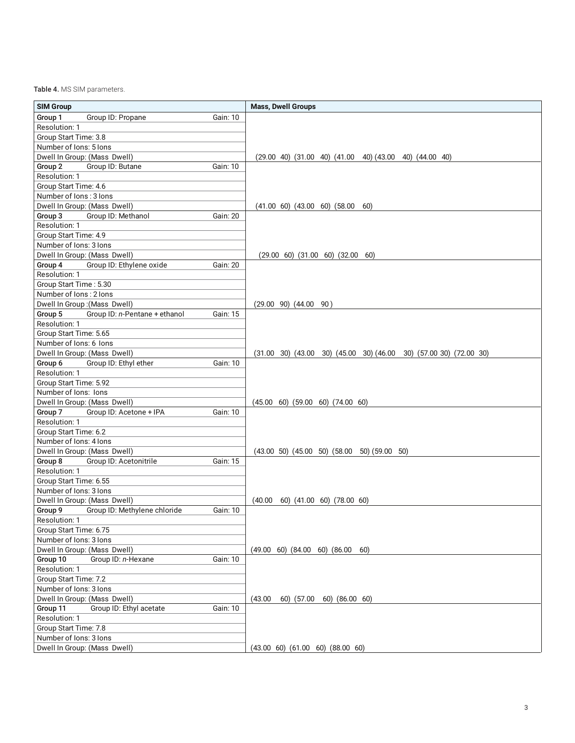Table 4. MS SIM parameters.

| <b>SIM Group</b>                                           | <b>Mass, Dwell Groups</b>                                                                 |
|------------------------------------------------------------|-------------------------------------------------------------------------------------------|
| Group 1<br>Group ID: Propane<br>Gain: 10                   |                                                                                           |
| Resolution: 1                                              |                                                                                           |
| Group Start Time: 3.8                                      |                                                                                           |
| Number of Ions: 5 Ions                                     |                                                                                           |
| Dwell In Group: (Mass Dwell)                               | $(29.00 \t 40)$ $(31.00 \t 40)$ $(41.00 \t 40)$ $(43.00 \t 40)$ $(44.00 \t 40)$           |
| Group 2<br>Group ID: Butane<br><b>Gain: 10</b>             |                                                                                           |
| Resolution: 1                                              |                                                                                           |
| Group Start Time: 4.6                                      |                                                                                           |
| Number of lons: 3 lons                                     |                                                                                           |
| Dwell In Group: (Mass Dwell)                               |                                                                                           |
|                                                            | $(41.00\thinspace60)\thinspace(43.00\thinspace60)\thinspace(58.00$<br>60)                 |
| Group 3<br>Group ID: Methanol<br>Gain: 20<br>Resolution: 1 |                                                                                           |
|                                                            |                                                                                           |
| Group Start Time: 4.9                                      |                                                                                           |
| Number of Ions: 3 Ions                                     |                                                                                           |
| Dwell In Group: (Mass Dwell)                               | $(29.00\ 60)$ $(31.00\ 60)$ $(32.00\ 60)$                                                 |
| Group 4<br>Group ID: Ethylene oxide<br>Gain: 20            |                                                                                           |
| Resolution: 1                                              |                                                                                           |
| Group Start Time: 5.30                                     |                                                                                           |
| Number of lons: 2 lons                                     |                                                                                           |
| Dwell In Group: (Mass Dwell)                               | $(29.00\ 90)$ $(44.00\ 90)$                                                               |
| Group 5<br>Group ID: n-Pentane + ethanol<br>Gain: 15       |                                                                                           |
| Resolution: 1                                              |                                                                                           |
| Group Start Time: 5.65                                     |                                                                                           |
| Number of lons: 6 lons                                     |                                                                                           |
| Dwell In Group: (Mass Dwell)                               | $(31.00 \t30)$ $(43.00 \t30)$ $(45.00 \t30)$ $(46.00 \t30)$ $(57.00 \t30)$ $(72.00 \t30)$ |
| Group 6<br>Group ID: Ethyl ether<br>Gain: 10               |                                                                                           |
| Resolution: 1                                              |                                                                                           |
| Group Start Time: 5.92                                     |                                                                                           |
| Number of Ions: Ions                                       |                                                                                           |
| Dwell In Group: (Mass Dwell)                               | $(45.00 \t 60)$ $(59.00 \t 60)$ $(74.00 \t 60)$                                           |
| Group 7<br>Group ID: Acetone + IPA<br>Gain: 10             |                                                                                           |
| Resolution: 1                                              |                                                                                           |
| Group Start Time: 6.2                                      |                                                                                           |
| Number of Ions: 4 Ions                                     |                                                                                           |
| Dwell In Group: (Mass Dwell)                               | $(43.00\ 50)$ $(45.00\ 50)$ $(58.00\ 50)$ $(59.00\ 50)$                                   |
| Group 8<br>Group ID: Acetonitrile<br>Gain: 15              |                                                                                           |
| Resolution: 1                                              |                                                                                           |
| Group Start Time: 6.55                                     |                                                                                           |
| Number of Ions: 3 Ions                                     |                                                                                           |
| Dwell In Group: (Mass Dwell)                               | $(40.00 \t 60)$ $(41.00 \t 60)$ $(78.00 \t 60)$                                           |
| Group ID: Methylene chloride<br>Group 9<br>Gain: 10        |                                                                                           |
| Resolution: 1                                              |                                                                                           |
| Group Start Time: 6.75                                     |                                                                                           |
| Number of Ions: 3 Ions                                     |                                                                                           |
| Dwell In Group: (Mass Dwell)                               | $(49.00\quad 60)$ $(84.00\quad 60)$ $(86.00\quad 60)$                                     |
| Group 10<br>Group ID: n-Hexane<br>Gain: 10                 |                                                                                           |
| Resolution: 1                                              |                                                                                           |
| Group Start Time: 7.2                                      |                                                                                           |
| Number of Ions: 3 Ions                                     |                                                                                           |
| Dwell In Group: (Mass Dwell)                               | (43.00)<br>60) (57.00 60) (86.00 60)                                                      |
| Group 11<br>Group ID: Ethyl acetate<br><b>Gain: 10</b>     |                                                                                           |
| Resolution: 1                                              |                                                                                           |
| Group Start Time: 7.8                                      |                                                                                           |
| Number of Ions: 3 Ions                                     |                                                                                           |
| Dwell In Group: (Mass Dwell)                               | $(43.00\ 60)$ $(61.00\ 60)$ $(88.00\ 60)$                                                 |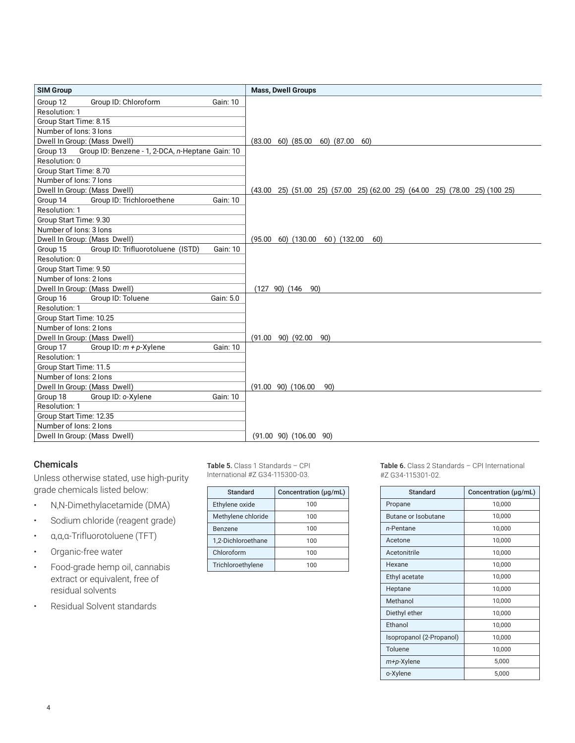| <b>SIM Group</b>                                             | <b>Mass, Dwell Groups</b>                                                  |
|--------------------------------------------------------------|----------------------------------------------------------------------------|
| Group 12<br>Group ID: Chloroform<br>Gain: 10                 |                                                                            |
| Resolution: 1                                                |                                                                            |
| Group Start Time: 8.15                                       |                                                                            |
| Number of Ions: 3 Ions                                       |                                                                            |
| Dwell In Group: (Mass Dwell)                                 | $(83.00 \t 60) (85.00 \t 60) (87.00 \t 60)$                                |
| Group 13<br>Group ID: Benzene - 1, 2-DCA, n-Heptane Gain: 10 |                                                                            |
| Resolution: 0                                                |                                                                            |
| Group Start Time: 8.70                                       |                                                                            |
| Number of Ions: 7 Ions                                       |                                                                            |
| Dwell In Group: (Mass Dwell)                                 | (43.00 25) (51.00 25) (57.00 25) (62.00 25) (64.00 25) (78.00 25) (100 25) |
| Group 14<br>Group ID: Trichloroethene<br>Gain: 10            |                                                                            |
| Resolution: 1                                                |                                                                            |
| Group Start Time: 9.30                                       |                                                                            |
| Number of Ions: 3 Ions                                       |                                                                            |
| Dwell In Group: (Mass Dwell)                                 | 60) (130.00<br>(95.00)<br>60) (132.00<br>60)                               |
| Group ID: Trifluorotoluene (ISTD)<br>Group 15<br>Gain: 10    |                                                                            |
| Resolution: 0                                                |                                                                            |
| Group Start Time: 9.50                                       |                                                                            |
| Number of Ions: 2 Ions                                       |                                                                            |
| Dwell In Group: (Mass Dwell)                                 | $(127 90)$ $(146 90)$                                                      |
| Group 16<br>Group ID: Toluene<br>Gain: 5.0                   |                                                                            |
| Resolution: 1                                                |                                                                            |
| Group Start Time: 10.25                                      |                                                                            |
| Number of Ions: 2 Ions                                       |                                                                            |
| Dwell In Group: (Mass Dwell)                                 | $(91.00 \t 90)$ $(92.00$<br>90)                                            |
| Group 17<br>Group ID: $m + p$ -Xylene<br>Gain: 10            |                                                                            |
| Resolution: 1                                                |                                                                            |
| Group Start Time: 11.5                                       |                                                                            |
| Number of Ions: 2 Ions                                       |                                                                            |
| Dwell In Group: (Mass Dwell)                                 | $(91.00 \t 90)$ $(106.00 \t 90)$<br>90)                                    |
| Group 18<br>Group ID: o-Xylene<br>Gain: 10                   |                                                                            |
| Resolution: 1                                                |                                                                            |
| Group Start Time: 12.35                                      |                                                                            |
| Number of Ions: 2 Ions                                       |                                                                            |
| Dwell In Group: (Mass Dwell)                                 | $(91.00 \t 90)$ $(106.00 \t 90)$                                           |

## Chemicals

Unless otherwise stated, use high-purity grade chemicals listed below:

- N,N-Dimethylacetamide (DMA)
- Sodium chloride (reagent grade)
- α,α,α-Trifluorotoluene (TFT)
- Organic-free water
- Food-grade hemp oil, cannabis extract or equivalent, free of residual solvents
- Residual Solvent standards

Table 5. Class 1 Standards - CPI International #Z G34-115300-03.

| <b>Standard</b>    | Concentration (µq/mL) |
|--------------------|-----------------------|
| Ethylene oxide     | 100                   |
| Methylene chloride | 100                   |
| Benzene            | 100                   |
| 1,2-Dichloroethane | 100                   |
| Chloroform         | 100                   |
| Trichloroethylene  | 100                   |

Table 6. Class 2 Standards – CPI International #Z G34-115301-02.

| Standard                 | Concentration (µg/mL) |
|--------------------------|-----------------------|
| Propane                  | 10,000                |
| Butane or Isobutane      | 10,000                |
| n-Pentane                | 10,000                |
| Acetone                  | 10,000                |
| Acetonitrile             | 10,000                |
| Hexane                   | 10,000                |
| Ethyl acetate            | 10,000                |
| Heptane                  | 10,000                |
| Methanol                 | 10,000                |
| Diethyl ether            | 10,000                |
| Ethanol                  | 10,000                |
| Isopropanol (2-Propanol) | 10,000                |
| Toluene                  | 10,000                |
| m+p-Xylene               | 5,000                 |
| o-Xylene                 | 5,000                 |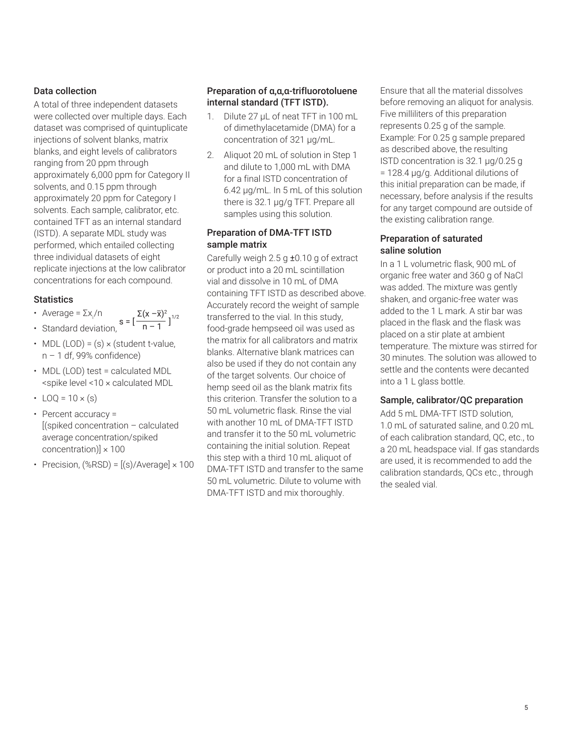## Data collection

A total of three independent datasets were collected over multiple days. Each dataset was comprised of quintuplicate injections of solvent blanks, matrix blanks, and eight levels of calibrators ranging from 20 ppm through approximately 6,000 ppm for Category II solvents, and 0.15 ppm through approximately 20 ppm for Category I solvents. Each sample, calibrator, etc. contained TFT as an internal standard (ISTD). A separate MDL study was performed, which entailed collecting three individual datasets of eight replicate injections at the low calibrator concentrations for each compound.

### **Statistics**

- Average = Σx<sub>i</sub>/n
- Standard deviation,  $s = \left[\frac{L(n-1)}{n-1}\right]^{1/2}$ n – 1
- MDL (LOD) =  $(s) \times$  (student t-value,  $n - 1$  df, 99% confidence)

 $\Sigma(x-\bar{x})^2$ 

- MDL (LOD) test = calculated MDL <spike level <10 × calculated MDL
- $\cdot$  LOQ = 10  $\times$  (s)
- Percent accuracy = [(spiked concentration – calculated average concentration/spiked concentration) $] \times 100$
- Precision,  $(%RSD) = [(s)/Average] \times 100$

## Preparation of α,α,α-trifluorotoluene internal standard (TFT ISTD).

- 1. Dilute 27 µL of neat TFT in 100 mL of dimethylacetamide (DMA) for a concentration of 321 µg/mL.
- 2. Aliquot 20 mL of solution in Step 1 and dilute to 1,000 mL with DMA for a final ISTD concentration of 6.42 µg/mL. In 5 mL of this solution there is 32.1 µg/g TFT. Prepare all samples using this solution.

### Preparation of DMA-TFT ISTD sample matrix

Carefully weigh 2.5 g ±0.10 g of extract or product into a 20 mL scintillation vial and dissolve in 10 mL of DMA containing TFT ISTD as described above. Accurately record the weight of sample transferred to the vial. In this study, food-grade hempseed oil was used as the matrix for all calibrators and matrix blanks. Alternative blank matrices can also be used if they do not contain any of the target solvents. Our choice of hemp seed oil as the blank matrix fits this criterion. Transfer the solution to a 50 mL volumetric flask. Rinse the vial with another 10 mL of DMA-TFT ISTD and transfer it to the 50 mL volumetric containing the initial solution. Repeat this step with a third 10 mL aliquot of DMA-TFT ISTD and transfer to the same 50 mL volumetric. Dilute to volume with DMA-TFT ISTD and mix thoroughly.

Ensure that all the material dissolves before removing an aliquot for analysis. Five milliliters of this preparation represents 0.25 g of the sample. Example: For 0.25 g sample prepared as described above, the resulting ISTD concentration is 32.1 μg/0.25 g = 128.4 μg/g. Additional dilutions of this initial preparation can be made, if necessary, before analysis if the results for any target compound are outside of the existing calibration range.

## Preparation of saturated saline solution

In a 1 L volumetric flask, 900 mL of organic free water and 360 g of NaCl was added. The mixture was gently shaken, and organic-free water was added to the 1 L mark. A stir bar was placed in the flask and the flask was placed on a stir plate at ambient temperature. The mixture was stirred for 30 minutes. The solution was allowed to settle and the contents were decanted into a 1 L glass bottle.

### Sample, calibrator/QC preparation

Add 5 mL DMA-TFT ISTD solution, 1.0 mL of saturated saline, and 0.20 mL of each calibration standard, QC, etc., to a 20 mL headspace vial. If gas standards are used, it is recommended to add the calibration standards, QCs etc., through the sealed vial.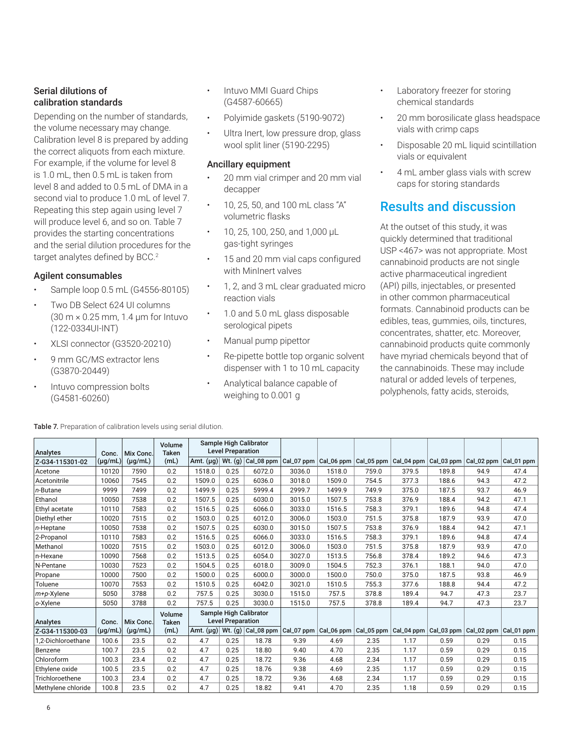## Serial dilutions of calibration standards

Depending on the number of standards, the volume necessary may change. Calibration level 8 is prepared by adding the correct aliquots from each mixture. For example, if the volume for level 8 is 1.0 mL, then 0.5 mL is taken from level 8 and added to 0.5 mL of DMA in a second vial to produce 1.0 mL of level 7. Repeating this step again using level 7 will produce level 6, and so on. Table 7 provides the starting concentrations and the serial dilution procedures for the target analytes defined by BCC.<sup>2</sup>

### Agilent consumables

- Sample loop 0.5 mL (G4556-80105)
- Two DB Select 624 UI columns (30 m × 0.25 mm, 1.4 µm for Intuvo (122-0334UI-INT)
- XLSI connector (G3520-20210)
- 9 mm GC/MS extractor lens (G3870‑20449)
- Intuvo compression bolts (G4581‑60260)
- Intuvo MMI Guard Chips (G4587‑60665)
- Polyimide gaskets (5190-9072)
- Ultra Inert, low pressure drop, glass wool split liner (5190-2295)

#### Ancillary equipment

- 20 mm vial crimper and 20 mm vial decapper
- 10, 25, 50, and 100 mL class "A" volumetric flasks
- 10, 25, 100, 250, and 1,000 µL gas‑tight syringes
- 15 and 20 mm vial caps configured with MinInert valves
- 1, 2, and 3 mL clear graduated micro reaction vials
- 1.0 and 5.0 mL glass disposable serological pipets
- Manual pump pipettor
- Re-pipette bottle top organic solvent dispenser with 1 to 10 mL capacity
- Analytical balance capable of weighing to 0.001 g
- Laboratory freezer for storing chemical standards
- 20 mm borosilicate glass headspace vials with crimp caps
- Disposable 20 mL liquid scintillation vials or equivalent
- 4 mL amber glass vials with screw caps for storing standards

## Results and discussion

At the outset of this study, it was quickly determined that traditional USP <467> was not appropriate. Most cannabinoid products are not single active pharmaceutical ingredient (API) pills, injectables, or presented in other common pharmaceutical formats. Cannabinoid products can be edibles, teas, gummies, oils, tinctures, concentrates, shatter, etc. Moreover, cannabinoid products quite commonly have myriad chemicals beyond that of the cannabinoids. These may include natural or added levels of terpenes, polyphenols, fatty acids, steroids,

| <b>Analytes</b>    | Conc.        | Mix Conc.    | Volume<br><b>Taken</b> | Sample High Calibrator<br><b>Level Preparation</b> |                          |                        |        |                                                                                                   |       |       |       |      |                                                                                                                             |
|--------------------|--------------|--------------|------------------------|----------------------------------------------------|--------------------------|------------------------|--------|---------------------------------------------------------------------------------------------------|-------|-------|-------|------|-----------------------------------------------------------------------------------------------------------------------------|
| Z-G34-115301-02    | $(\mu g/mL)$ | $(\mu g/mL)$ | (mL)                   | Amt. $(\mu g)$                                     |                          |                        |        |                                                                                                   |       |       |       |      | Wt. (g) Cal_08 ppm $ $ Cal_07 ppm $ $ Cal_06 ppm $ $ Cal_05 ppm $ $ Cal_04 ppm $ $ Cal_03 ppm $ $ Cal_02 ppm $ $ Cal_01 ppm |
| Acetone            | 10120        | 7590         | 0.2                    | 1518.0                                             | 0.25                     | 6072.0                 | 3036.0 | 1518.0                                                                                            | 759.0 | 379.5 | 189.8 | 94.9 | 47.4                                                                                                                        |
| Acetonitrile       | 10060        | 7545         | 0.2                    | 1509.0                                             | 0.25                     | 6036.0                 | 3018.0 | 1509.0                                                                                            | 754.5 | 377.3 | 188.6 | 94.3 | 47.2                                                                                                                        |
| n-Butane           | 9999         | 7499         | 0.2                    | 1499.9                                             | 0.25                     | 5999.4                 | 2999.7 | 1499.9                                                                                            | 749.9 | 375.0 | 187.5 | 93.7 | 46.9                                                                                                                        |
| Ethanol            | 10050        | 7538         | 0.2                    | 1507.5                                             | 0.25                     | 6030.0                 | 3015.0 | 1507.5                                                                                            | 753.8 | 376.9 | 188.4 | 94.2 | 47.1                                                                                                                        |
| Ethyl acetate      | 10110        | 7583         | 0.2                    | 1516.5                                             | 0.25                     | 6066.0                 | 3033.0 | 1516.5                                                                                            | 758.3 | 379.1 | 189.6 | 94.8 | 47.4                                                                                                                        |
| Diethyl ether      | 10020        | 7515         | 0.2                    | 1503.0                                             | 0.25                     | 6012.0                 | 3006.0 | 1503.0                                                                                            | 751.5 | 375.8 | 187.9 | 93.9 | 47.0                                                                                                                        |
| n-Heptane          | 10050        | 7538         | 0.2                    | 1507.5                                             | 0.25                     | 6030.0                 | 3015.0 | 1507.5                                                                                            | 753.8 | 376.9 | 188.4 | 94.2 | 47.1                                                                                                                        |
| 2-Propanol         | 10110        | 7583         | 0.2                    | 1516.5                                             | 0.25                     | 6066.0                 | 3033.0 | 1516.5                                                                                            | 758.3 | 379.1 | 189.6 | 94.8 | 47.4                                                                                                                        |
| Methanol           | 10020        | 7515         | 0.2                    | 1503.0                                             | 0.25                     | 6012.0                 | 3006.0 | 1503.0                                                                                            | 751.5 | 375.8 | 187.9 | 93.9 | 47.0                                                                                                                        |
| n-Hexane           | 10090        | 7568         | 0.2                    | 1513.5                                             | 0.25                     | 6054.0                 | 3027.0 | 1513.5                                                                                            | 756.8 | 378.4 | 189.2 | 94.6 | 47.3                                                                                                                        |
| N-Pentane          | 10030        | 7523         | 0.2                    | 1504.5                                             | 0.25                     | 6018.0                 | 3009.0 | 1504.5                                                                                            | 752.3 | 376.1 | 188.1 | 94.0 | 47.0                                                                                                                        |
| Propane            | 10000        | 7500         | 0.2                    | 1500.0                                             | 0.25                     | 6000.0                 | 3000.0 | 1500.0                                                                                            | 750.0 | 375.0 | 187.5 | 93.8 | 46.9                                                                                                                        |
| Toluene            | 10070        | 7553         | 0.2                    | 1510.5                                             | 0.25                     | 6042.0                 | 3021.0 | 1510.5                                                                                            | 755.3 | 377.6 | 188.8 | 94.4 | 47.2                                                                                                                        |
| $m+p$ -Xylene      | 5050         | 3788         | 0.2                    | 757.5                                              | 0.25                     | 3030.0                 | 1515.0 | 757.5                                                                                             | 378.8 | 189.4 | 94.7  | 47.3 | 23.7                                                                                                                        |
| o-Xylene           | 5050         | 3788         | 0.2                    | 757.5                                              | 0.25                     | 3030.0                 | 1515.0 | 757.5                                                                                             | 378.8 | 189.4 | 94.7  | 47.3 | 23.7                                                                                                                        |
| Analytes           | Conc.        | Mix Conc.    | Volume<br><b>Taken</b> |                                                    | <b>Level Preparation</b> | Sample High Calibrator |        |                                                                                                   |       |       |       |      |                                                                                                                             |
| Z-G34-115300-03    | $(\mu g/mL)$ | $(\mu g/mL)$ | (mL)                   | Amt. $(\mu g)$                                     |                          | Wt. $(g)$ Cal_08 ppm   |        | $ Cal_07$ ppm $ Cal_06$ ppm $ Cal_05$ ppm $ Cal_04$ ppm $ Cal_03$ ppm $ Cal_02$ ppm $ Cal_01$ ppm |       |       |       |      |                                                                                                                             |
| 1.2-Dichloroethane | 100.6        | 23.5         | 0.2                    | 4.7                                                | 0.25                     | 18.78                  | 9.39   | 4.69                                                                                              | 2.35  | 1.17  | 0.59  | 0.29 | 0.15                                                                                                                        |
| Benzene            | 100.7        | 23.5         | 0.2                    | 4.7                                                | 0.25                     | 18.80                  | 9.40   | 4.70                                                                                              | 2.35  | 1.17  | 0.59  | 0.29 | 0.15                                                                                                                        |
| Chloroform         | 100.3        | 23.4         | 0.2                    | 4.7                                                | 0.25                     | 18.72                  | 9.36   | 4.68                                                                                              | 2.34  | 1.17  | 0.59  | 0.29 | 0.15                                                                                                                        |
| Ethylene oxide     | 100.5        | 23.5         | 0.2                    | 4.7                                                | 0.25                     | 18.76                  | 9.38   | 4.69                                                                                              | 2.35  | 1.17  | 0.59  | 0.29 | 0.15                                                                                                                        |
| Trichloroethene    | 100.3        | 23.4         | 0.2                    | 4.7                                                | 0.25                     | 18.72                  | 9.36   | 4.68                                                                                              | 2.34  | 1.17  | 0.59  | 0.29 | 0.15                                                                                                                        |
| Methylene chloride | 100.8        | 23.5         | 0.2                    | 4.7                                                | 0.25                     | 18.82                  | 9.41   | 4.70                                                                                              | 2.35  | 1.18  | 0.59  | 0.29 | 0.15                                                                                                                        |

Table 7. Preparation of calibration levels using serial dilution.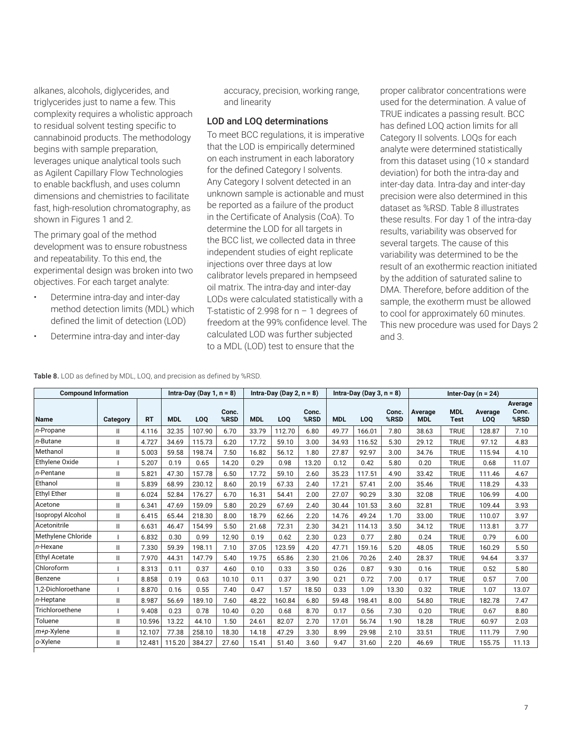alkanes, alcohols, diglycerides, and triglycerides just to name a few. This complexity requires a wholistic approach to residual solvent testing specific to cannabinoid products. The methodology begins with sample preparation, leverages unique analytical tools such as Agilent Capillary Flow Technologies to enable backflush, and uses column dimensions and chemistries to facilitate fast, high-resolution chromatography, as shown in Figures 1 and 2.

The primary goal of the method development was to ensure robustness and repeatability. To this end, the experimental design was broken into two objectives. For each target analyte:

- Determine intra-day and inter-day method detection limits (MDL) which defined the limit of detection (LOD)
- Determine intra-day and inter-day

accuracy, precision, working range, and linearity

#### LOD and LOQ determinations

To meet BCC regulations, it is imperative that the LOD is empirically determined on each instrument in each laboratory for the defined Category I solvents. Any Category I solvent detected in an unknown sample is actionable and must be reported as a failure of the product in the Certificate of Analysis (CoA). To determine the LOD for all targets in the BCC list, we collected data in three independent studies of eight replicate injections over three days at low calibrator levels prepared in hempseed oil matrix. The intra-day and inter-day LODs were calculated statistically with a T-statistic of 2.998 for  $n - 1$  degrees of freedom at the 99% confidence level. The calculated LOD was further subjected to a MDL (LOD) test to ensure that the

proper calibrator concentrations were used for the determination. A value of TRUE indicates a passing result. BCC has defined LOQ action limits for all Category II solvents. LOQs for each analyte were determined statistically from this dataset using  $(10 \times$  standard deviation) for both the intra-day and inter-day data. Intra-day and inter-day precision were also determined in this dataset as %RSD. Table 8 illustrates these results. For day 1 of the intra‑day results, variability was observed for several targets. The cause of this variability was determined to be the result of an exothermic reaction initiated by the addition of saturated saline to DMA. Therefore, before addition of the sample, the exotherm must be allowed to cool for approximately 60 minutes. This new procedure was used for Days 2 and 3.

#### Table 8. LOD as defined by MDL, LOQ, and precision as defined by %RSD.

| <b>Compound Information</b> |               |           | Intra-Day (Day 1, $n = 8$ ) |        |               | Intra-Day (Day 2, $n = 8$ ) |        |               | Intra-Day (Day 3, $n = 8$ ) |                 |               | Inter-Day ( $n = 24$ ) |                           |                |                          |
|-----------------------------|---------------|-----------|-----------------------------|--------|---------------|-----------------------------|--------|---------------|-----------------------------|-----------------|---------------|------------------------|---------------------------|----------------|--------------------------|
| <b>Name</b>                 | Category      | <b>RT</b> | <b>MDL</b>                  | LOO    | Conc.<br>%RSD | <b>MDL</b>                  | LOO    | Conc.<br>%RSD | <b>MDL</b>                  | LO <sub>0</sub> | Conc.<br>%RSD | Average<br><b>MDL</b>  | <b>MDL</b><br><b>Test</b> | Average<br>LOQ | Average<br>Conc.<br>%RSD |
| n-Propane                   | Ш             | 4.116     | 32.35                       | 107.90 | 6.70          | 33.79                       | 112.70 | 6.80          | 49.77                       | 166.01          | 7.80          | 38.63                  | <b>TRUE</b>               | 128.87         | 7.10                     |
| n-Butane                    | $\mathsf{II}$ | 4.727     | 34.69                       | 115.73 | 6.20          | 17.72                       | 59.10  | 3.00          | 34.93                       | 116.52          | 5.30          | 29.12                  | <b>TRUE</b>               | 97.12          | 4.83                     |
| Methanol                    | $\mathsf{II}$ | 5.003     | 59.58                       | 198.74 | 7.50          | 16.82                       | 56.12  | 1.80          | 27.87                       | 92.97           | 3.00          | 34.76                  | <b>TRUE</b>               | 115.94         | 4.10                     |
| Ethylene Oxide              |               | 5.207     | 0.19                        | 0.65   | 14.20         | 0.29                        | 0.98   | 13.20         | 0.12                        | 0.42            | 5.80          | 0.20                   | <b>TRUE</b>               | 0.68           | 11.07                    |
| $n$ -Pentane                | Ш             | 5.821     | 47.30                       | 157.78 | 6.50          | 17.72                       | 59.10  | 2.60          | 35.23                       | 117.51          | 4.90          | 33.42                  | <b>TRUE</b>               | 111.46         | 4.67                     |
| Ethanol                     | Ш             | 5.839     | 68.99                       | 230.12 | 8.60          | 20.19                       | 67.33  | 2.40          | 17.21                       | 57.41           | 2.00          | 35.46                  | <b>TRUE</b>               | 118.29         | 4.33                     |
| <b>Ethyl Ether</b>          | Ш             | 6.024     | 52.84                       | 176.27 | 6.70          | 16.31                       | 54.41  | 2.00          | 27.07                       | 90.29           | 3.30          | 32.08                  | <b>TRUE</b>               | 106.99         | 4.00                     |
| Acetone                     | $\mathsf{II}$ | 6.341     | 47.69                       | 159.09 | 5.80          | 20.29                       | 67.69  | 2.40          | 30.44                       | 101.53          | 3.60          | 32.81                  | <b>TRUE</b>               | 109.44         | 3.93                     |
| Isopropyl Alcohol           | $\mathsf{II}$ | 6.415     | 65.44                       | 218.30 | 8.00          | 18.79                       | 62.66  | 2.20          | 14.76                       | 49.24           | 1.70          | 33.00                  | <b>TRUE</b>               | 110.07         | 3.97                     |
| Acetonitrile                | $\mathsf{I}$  | 6.631     | 46.47                       | 154.99 | 5.50          | 21.68                       | 72.31  | 2.30          | 34.21                       | 114.13          | 3.50          | 34.12                  | <b>TRUE</b>               | 113.81         | 3.77                     |
| Methylene Chloride          |               | 6.832     | 0.30                        | 0.99   | 12.90         | 0.19                        | 0.62   | 2.30          | 0.23                        | 0.77            | 2.80          | 0.24                   | <b>TRUE</b>               | 0.79           | 6.00                     |
| n-Hexane                    | $\mathsf{I}$  | 7.330     | 59.39                       | 198.11 | 7.10          | 37.05                       | 123.59 | 4.20          | 47.71                       | 159.16          | 5.20          | 48.05                  | <b>TRUE</b>               | 160.29         | 5.50                     |
| <b>Ethyl Acetate</b>        | Ш             | 7.970     | 44.31                       | 147.79 | 5.40          | 19.75                       | 65.86  | 2.30          | 21.06                       | 70.26           | 2.40          | 28.37                  | <b>TRUE</b>               | 94.64          | 3.37                     |
| Chloroform                  |               | 8.313     | 0.11                        | 0.37   | 4.60          | 0.10                        | 0.33   | 3.50          | 0.26                        | 0.87            | 9.30          | 0.16                   | <b>TRUE</b>               | 0.52           | 5.80                     |
| Benzene                     |               | 8.858     | 0.19                        | 0.63   | 10.10         | 0.11                        | 0.37   | 3.90          | 0.21                        | 0.72            | 7.00          | 0.17                   | <b>TRUE</b>               | 0.57           | 7.00                     |
| 1.2-Dichloroethane          |               | 8.870     | 0.16                        | 0.55   | 7.40          | 0.47                        | 1.57   | 18.50         | 0.33                        | 1.09            | 13.30         | 0.32                   | <b>TRUE</b>               | 1.07           | 13.07                    |
| n-Heptane                   | Ш             | 8.987     | 56.69                       | 189.10 | 7.60          | 48.22                       | 160.84 | 6.80          | 59.48                       | 198.41          | 8.00          | 54.80                  | <b>TRUE</b>               | 182.78         | 7.47                     |
| Trichloroethene             |               | 9.408     | 0.23                        | 0.78   | 10.40         | 0.20                        | 0.68   | 8.70          | 0.17                        | 0.56            | 7.30          | 0.20                   | <b>TRUE</b>               | 0.67           | 8.80                     |
| Toluene                     | Ш             | 10.596    | 13.22                       | 44.10  | 1.50          | 24.61                       | 82.07  | 2.70          | 17.01                       | 56.74           | 1.90          | 18.28                  | <b>TRUE</b>               | 60.97          | 2.03                     |
| m+p-Xylene                  | $\mathbf{I}$  | 12.107    | 77.38                       | 258.10 | 18.30         | 14.18                       | 47.29  | 3.30          | 8.99                        | 29.98           | 2.10          | 33.51                  | <b>TRUE</b>               | 111.79         | 7.90                     |
| o-Xylene                    | $\mathbf{I}$  | 12.481    | 115.20                      | 384.27 | 27.60         | 15.41                       | 51.40  | 3.60          | 9.47                        | 31.60           | 2.20          | 46.69                  | <b>TRUE</b>               | 155.75         | 11.13                    |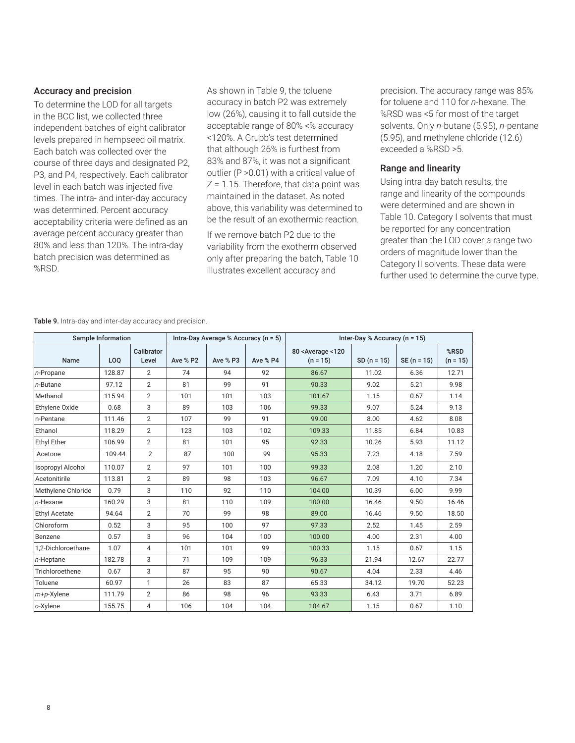#### Accuracy and precision

To determine the LOD for all targets in the BCC list, we collected three independent batches of eight calibrator levels prepared in hempseed oil matrix. Each batch was collected over the course of three days and designated P2, P3, and P4, respectively. Each calibrator level in each batch was injected five times. The intra- and inter-day accuracy was determined. Percent accuracy acceptability criteria were defined as an average percent accuracy greater than 80% and less than 120%. The intra-day batch precision was determined as %RSD.

As shown in Table 9, the toluene accuracy in batch P2 was extremely low (26%), causing it to fall outside the acceptable range of 80% <% accuracy <120%. A Grubb's test determined that although 26% is furthest from 83% and 87%, it was not a significant outlier (P >0.01) with a critical value of  $Z = 1.15$ . Therefore, that data point was maintained in the dataset. As noted above, this variability was determined to be the result of an exothermic reaction.

If we remove batch P2 due to the variability from the exotherm observed only after preparing the batch, Table 10 illustrates excellent accuracy and

precision. The accuracy range was 85% for toluene and 110 for *n*-hexane. The %RSD was <5 for most of the target solvents. Only *n*-butane (5.95), *n*-pentane (5.95), and methylene chloride (12.6) exceeded a %RSD >5.

#### Range and linearity

Using intra-day batch results, the range and linearity of the compounds were determined and are shown in Table 10. Category I solvents that must be reported for any concentration greater than the LOD cover a range two orders of magnitude lower than the Category II solvents. These data were further used to determine the curve type,

|                          | <b>Sample Information</b> |                     |          | Intra-Day Average % Accuracy $(n = 5)$ |          | Inter-Day % Accuracy $(n = 15)$                        |               |              |                    |  |
|--------------------------|---------------------------|---------------------|----------|----------------------------------------|----------|--------------------------------------------------------|---------------|--------------|--------------------|--|
| Name                     | LO <sub>O</sub>           | Calibrator<br>Level | Ave % P2 | Ave % P3                               | Ave % P4 | 80 <average <120<br=""><math>(n = 15)</math></average> | $SD (n = 15)$ | $SE(n = 15)$ | %RSD<br>$(n = 15)$ |  |
| n-Propane                | 128.87                    | 2                   | 74       | 94                                     | 92       | 86.67                                                  | 11.02         | 6.36         | 12.71              |  |
| n-Butane                 | 97.12                     | 2                   | 81       | 99                                     | 91       | 90.33                                                  | 9.02          | 5.21         | 9.98               |  |
| Methanol                 | 115.94                    | $\overline{2}$      | 101      | 101                                    | 103      | 101.67                                                 | 1.15          | 0.67         | 1.14               |  |
| Ethylene Oxide           | 0.68                      | 3                   | 89       | 103                                    | 106      | 99.33                                                  | 9.07          | 5.24         | 9.13               |  |
| n-Pentane                | 111.46                    | 2                   | 107      | 99                                     | 91       | 99.00                                                  | 8.00          | 4.62         | 8.08               |  |
| Ethanol                  | 118.29                    | 2                   | 123      | 103                                    | 102      | 109.33                                                 | 11.85         | 6.84         | 10.83              |  |
| <b>Ethyl Ether</b>       | 106.99                    | $\overline{2}$      | 81       | 101                                    | 95       | 92.33                                                  | 10.26         | 5.93         | 11.12              |  |
| Acetone                  | 109.44                    | $\overline{2}$      | 87       | 100                                    | 99       | 95.33                                                  | 7.23          | 4.18         | 7.59               |  |
| <b>Isopropyl Alcohol</b> | 110.07                    | $\overline{2}$      | 97       | 101                                    | 100      | 99.33                                                  | 2.08          | 1.20         | 2.10               |  |
| Acetonitirile            | 113.81                    | 2                   | 89       | 98                                     | 103      | 96.67                                                  | 7.09          | 4.10         | 7.34               |  |
| Methylene Chloride       | 0.79                      | 3                   | 110      | 92                                     | 110      | 104.00                                                 | 10.39         | 6.00         | 9.99               |  |
| n-Hexane                 | 160.29                    | 3                   | 81       | 110                                    | 109      | 100.00                                                 | 16.46         | 9.50         | 16.46              |  |
| <b>Ethyl Acetate</b>     | 94.64                     | 2                   | 70       | 99                                     | 98       | 89.00                                                  | 16.46         | 9.50         | 18.50              |  |
| Chloroform               | 0.52                      | 3                   | 95       | 100                                    | 97       | 97.33                                                  | 2.52          | 1.45         | 2.59               |  |
| Benzene                  | 0.57                      | 3                   | 96       | 104                                    | 100      | 100.00                                                 | 4.00          | 2.31         | 4.00               |  |
| 1.2-Dichloroethane       | 1.07                      | $\overline{4}$      | 101      | 101                                    | 99       | 100.33                                                 | 1.15          | 0.67         | 1.15               |  |
| n-Heptane                | 182.78                    | 3                   | 71       | 109                                    | 109      | 96.33                                                  | 21.94         | 12.67        | 22.77              |  |
| Trichloroethene          | 0.67                      | 3                   | 87       | 95                                     | 90       | 90.67                                                  | 4.04          | 2.33         | 4.46               |  |
| Toluene                  | 60.97                     | $\mathbf{1}$        | 26       | 83                                     | 87       | 65.33                                                  | 34.12         | 19.70        | 52.23              |  |
| m+p-Xylene               | 111.79                    | 2                   | 86       | 98                                     | 96       | 93.33                                                  | 6.43          | 3.71         | 6.89               |  |
| o-Xylene                 | 155.75                    | $\overline{4}$      | 106      | 104                                    | 104      | 104.67                                                 | 1.15          | 0.67         | 1.10               |  |

Table 9. Intra-day and inter-day accuracy and precision.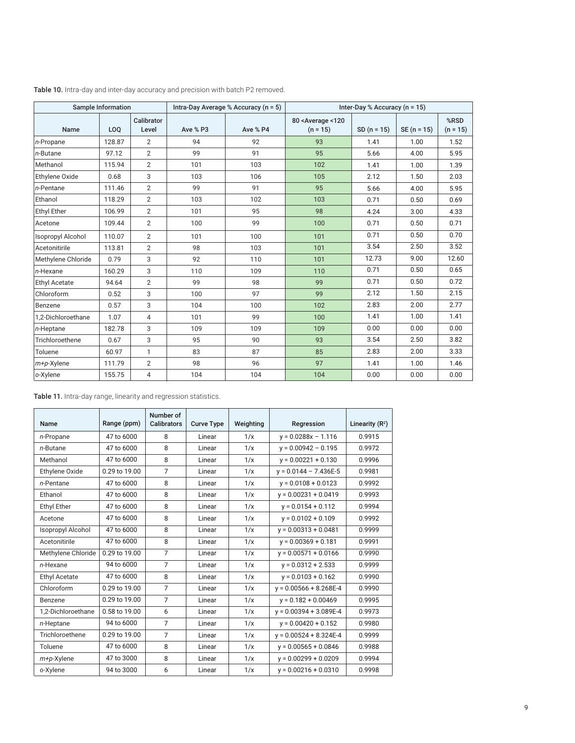|                      | <b>Sample Information</b> |                     |          | Intra-Day Average % Accuracy (n = 5)                                | Inter-Day % Accuracy ( $n = 15$ ) |               |              |                    |  |
|----------------------|---------------------------|---------------------|----------|---------------------------------------------------------------------|-----------------------------------|---------------|--------------|--------------------|--|
| Name                 | LOO                       | Calibrator<br>Level | Ave % P3 | 80 <average <120<br="">Ave % P4<br/><math>(n = 15)</math></average> |                                   | $SD (n = 15)$ | $SE(n = 15)$ | %RSD<br>$(n = 15)$ |  |
| n-Propane            | 128.87                    | $\overline{2}$      | 94       | 92                                                                  | 93                                | 1.41          | 1.00         | 1.52               |  |
| $n$ -Butane          | 97.12                     | $\overline{2}$      | 99       | 91                                                                  | 95                                | 5.66          | 4.00         | 5.95               |  |
| Methanol             | 115.94                    | $\overline{2}$      | 101      | 103                                                                 | 102                               | 1.41          | 1.00         | 1.39               |  |
| Ethylene Oxide       | 0.68                      | 3                   | 103      | 106                                                                 | 105                               | 2.12          | 1.50         | 2.03               |  |
| $n$ -Pentane         | 111.46                    | $\overline{2}$      | 99       | 91                                                                  | 95                                | 5.66          | 4.00         | 5.95               |  |
| Ethanol              | 118.29                    | $\overline{2}$      | 103      | 102                                                                 | 103                               | 0.71          | 0.50         | 0.69               |  |
| <b>Ethyl Ether</b>   | 106.99                    | $\overline{2}$      | 101      | 95                                                                  | 98                                | 4.24          | 3.00         | 4.33               |  |
| Acetone              | 109.44                    | $\overline{2}$      | 100      | 99                                                                  | 100                               | 0.71          | 0.50         | 0.71               |  |
| Isopropyl Alcohol    | 110.07                    | $\overline{2}$      | 101      | 100                                                                 | 101                               | 0.71          | 0.50         | 0.70               |  |
| Acetonitirile        | 113.81                    | $\overline{2}$      | 98       | 103                                                                 | 101                               | 3.54          | 2.50         | 3.52               |  |
| Methylene Chloride   | 0.79                      | 3                   | 92       | 110                                                                 | 101                               | 12.73         | 9.00         | 12.60              |  |
| $n$ -Hexane          | 160.29                    | 3                   | 110      | 109                                                                 | 110                               | 0.71          | 0.50         | 0.65               |  |
| <b>Ethyl Acetate</b> | 94.64                     | $\overline{2}$      | 99       | 98                                                                  | 99                                | 0.71          | 0.50         | 0.72               |  |
| Chloroform           | 0.52                      | 3                   | 100      | 97                                                                  | 99                                | 2.12          | 1.50         | 2.15               |  |
| Benzene              | 0.57                      | 3                   | 104      | 100                                                                 | 102                               | 2.83          | 2.00         | 2.77               |  |
| 1.2-Dichloroethane   | 1.07                      | $\overline{4}$      | 101      | 99                                                                  | 100                               | 1.41          | 1.00         | 1.41               |  |
| n-Heptane            | 182.78                    | 3                   | 109      | 109                                                                 | 109                               | 0.00          | 0.00         | 0.00               |  |
| Trichloroethene      | 0.67                      | 3                   | 95       | 90                                                                  | 93                                | 3.54          | 2.50         | 3.82               |  |
| Toluene              | 60.97                     | 1                   | 83       | 87                                                                  | 85                                | 2.83          | 2.00         | 3.33               |  |
| m+p-Xylene           | 111.79                    | $\overline{2}$      | 98       | 96                                                                  | 97                                | 1.41          | 1.00         | 1.46               |  |
| o-Xylene             | 155.75                    | 4                   | 104      | 104                                                                 | 104                               | 0.00          | 0.00         | 0.00               |  |

Table 10. Intra-day and inter-day accuracy and precision with batch P2 removed.

Table 11. Intra-day range, linearity and regression statistics.

| Name                 | Range (ppm)   | Number of<br><b>Calibrators</b> | <b>Curve Type</b> | Weighting | Regression               | Linearity $(R2)$ |
|----------------------|---------------|---------------------------------|-------------------|-----------|--------------------------|------------------|
| n-Propane            | 47 to 6000    | 8                               | Linear            | 1/x       | $y = 0.0288x - 1.116$    | 0.9915           |
| n-Butane             | 47 to 6000    | 8                               | Linear            | 1/x       | $y = 0.00942 - 0.195$    | 0.9972           |
| Methanol             | 47 to 6000    | 8                               | Linear            | 1/x       | $v = 0.00221 + 0.130$    | 0.9996           |
| Ethylene Oxide       | 0.29 to 19.00 | $\overline{7}$                  | Linear            | 1/x       | $y = 0.0144 - 7.436E-5$  | 0.9981           |
| n-Pentane            | 47 to 6000    | 8                               | Linear            | 1/x       | $v = 0.0108 + 0.0123$    | 0.9992           |
| Ethanol              | 47 to 6000    | 8                               | Linear            | 1/x       | $y = 0.00231 + 0.0419$   | 0.9993           |
| <b>Ethyl Ether</b>   | 47 to 6000    | 8                               | Linear            | 1/x       | $y = 0.0154 + 0.112$     | 0.9994           |
| Acetone              | 47 to 6000    | 8                               | Linear            | 1/x       | $y = 0.0102 + 0.109$     | 0.9992           |
| Isopropyl Alcohol    | 47 to 6000    | 8                               | Linear            | 1/x       | $y = 0.00313 + 0.0481$   | 0.9999           |
| Acetonitirile        | 47 to 6000    | 8                               | Linear            | 1/x       | $v = 0.00369 + 0.181$    | 0.9991           |
| Methylene Chloride   | 0.29 to 19.00 | $\overline{7}$                  | Linear            | 1/x       | $y = 0.00571 + 0.0166$   | 0.9990           |
| $n$ -Hexane          | 94 to 6000    | $\overline{7}$                  | Linear            | 1/x       | $y = 0.0312 + 2.533$     | 0.9999           |
| <b>Ethyl Acetate</b> | 47 to 6000    | 8                               | Linear            | 1/x       | $y = 0.0103 + 0.162$     | 0.9990           |
| Chloroform           | 0.29 to 19.00 | $\overline{7}$                  | Linear            | 1/x       | $y = 0.00566 + 8.268E-4$ | 0.9990           |
| Benzene              | 0.29 to 19.00 | $\overline{7}$                  | Linear            | 1/x       | $y = 0.182 + 0.00469$    | 0.9995           |
| 1,2-Dichloroethane   | 0.58 to 19.00 | 6                               | Linear            | 1/x       | $y = 0.00394 + 3.089E-4$ | 0.9973           |
| n-Heptane            | 94 to 6000    | $\overline{7}$                  | Linear            | 1/x       | $y = 0.00420 + 0.152$    | 0.9980           |
| Trichloroethene      | 0.29 to 19.00 | $\overline{7}$                  | Linear            | 1/x       | $y = 0.00524 + 8.324E-4$ | 0.9999           |
| Toluene              | 47 to 6000    | 8                               | Linear            | 1/x       | $y = 0.00565 + 0.0846$   | 0.9988           |
| m+p-Xylene           | 47 to 3000    | 8                               | Linear            | 1/x       | $y = 0.00299 + 0.0209$   | 0.9994           |
| o-Xylene             | 94 to 3000    | 6                               | Linear            | 1/x       | $y = 0.00216 + 0.0310$   | 0.9998           |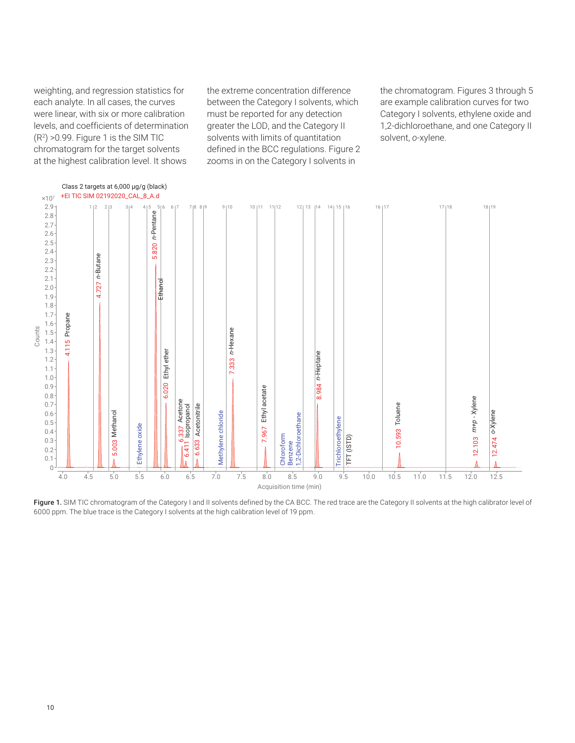weighting, and regression statistics for each analyte. In all cases, the curves were linear, with six or more calibration levels, and coefficients of determination  $(R<sup>2</sup>)$  >0.99. Figure 1 is the SIM TIC chromatogram for the target solvents at the highest calibration level. It shows

the extreme concentration difference between the Category I solvents, which must be reported for any detection greater the LOD, and the Category II solvents with limits of quantitation defined in the BCC regulations. Figure 2 zooms in on the Category I solvents in

the chromatogram. Figures 3 through 5 are example calibration curves for two Category I solvents, ethylene oxide and 1,2-dichloroethane, and one Category II solvent, *o*-xylene.



Figure 1. SIM TIC chromatogram of the Category I and II solvents defined by the CA BCC. The red trace are the Category II solvents at the high calibrator level of 6000 ppm. The blue trace is the Category I solvents at the high calibration level of 19 ppm.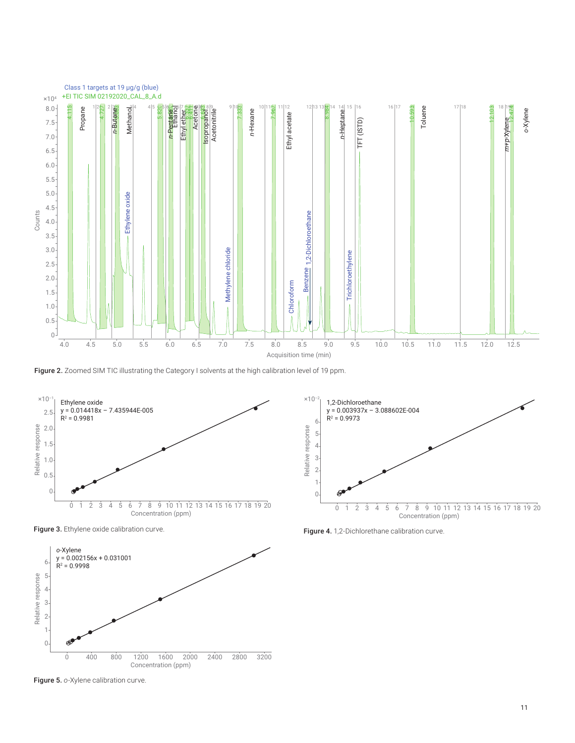

Figure 2. Zoomed SIM TIC illustrating the Category I solvents at the high calibration level of 19 ppm.



Figure 3. Ethylene oxide calibration curve.





Figure 4. 1,2-Dichlorethane calibration curve.